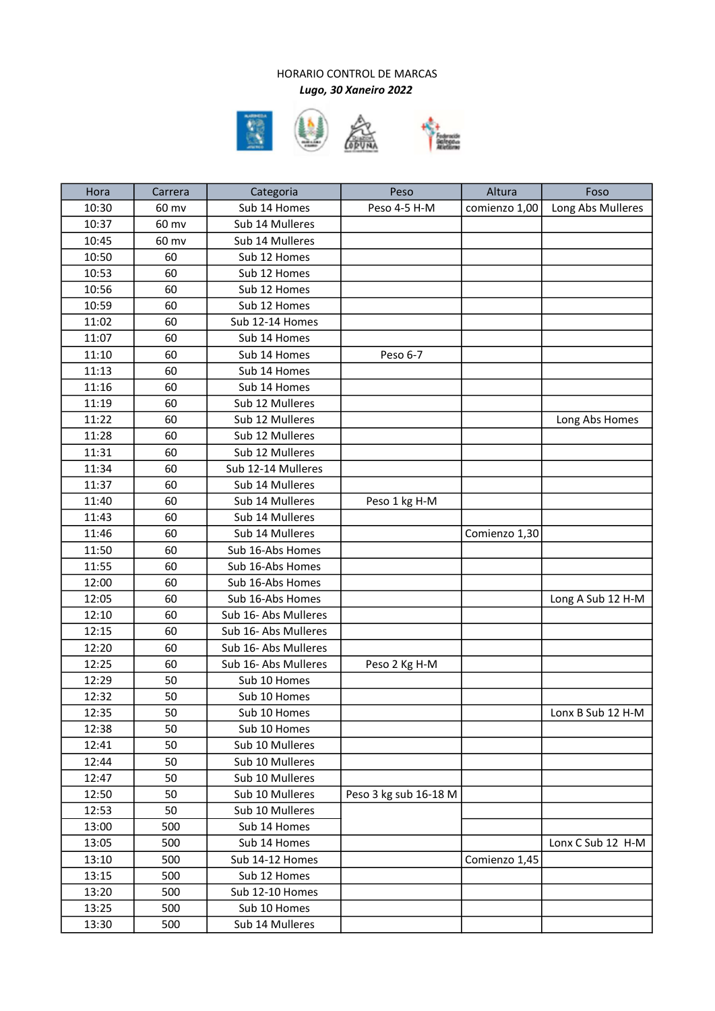## HORARIO CONTROL DE MARCAS Lugo, 30 Xaneiro 2022





| Hora  | Carrera | Categoria            | Peso                  | Altura        | Foso              |
|-------|---------|----------------------|-----------------------|---------------|-------------------|
| 10:30 | 60 mv   | Sub 14 Homes         | Peso 4-5 H-M          | comienzo 1,00 | Long Abs Mulleres |
| 10:37 | 60 mv   | Sub 14 Mulleres      |                       |               |                   |
| 10:45 | 60 mv   | Sub 14 Mulleres      |                       |               |                   |
| 10:50 | 60      | Sub 12 Homes         |                       |               |                   |
| 10:53 | 60      | Sub 12 Homes         |                       |               |                   |
| 10:56 | 60      | Sub 12 Homes         |                       |               |                   |
| 10:59 | 60      | Sub 12 Homes         |                       |               |                   |
| 11:02 | 60      | Sub 12-14 Homes      |                       |               |                   |
| 11:07 | 60      | Sub 14 Homes         |                       |               |                   |
| 11:10 | 60      | Sub 14 Homes         | Peso 6-7              |               |                   |
| 11:13 | 60      | Sub 14 Homes         |                       |               |                   |
| 11:16 | 60      | Sub 14 Homes         |                       |               |                   |
| 11:19 | 60      | Sub 12 Mulleres      |                       |               |                   |
| 11:22 | 60      | Sub 12 Mulleres      |                       |               | Long Abs Homes    |
| 11:28 | 60      | Sub 12 Mulleres      |                       |               |                   |
| 11:31 | 60      | Sub 12 Mulleres      |                       |               |                   |
| 11:34 | 60      | Sub 12-14 Mulleres   |                       |               |                   |
| 11:37 | 60      | Sub 14 Mulleres      |                       |               |                   |
| 11:40 | 60      | Sub 14 Mulleres      | Peso 1 kg H-M         |               |                   |
| 11:43 | 60      | Sub 14 Mulleres      |                       |               |                   |
| 11:46 | 60      | Sub 14 Mulleres      |                       | Comienzo 1,30 |                   |
| 11:50 | 60      | Sub 16-Abs Homes     |                       |               |                   |
| 11:55 | 60      | Sub 16-Abs Homes     |                       |               |                   |
| 12:00 | 60      | Sub 16-Abs Homes     |                       |               |                   |
| 12:05 | 60      | Sub 16-Abs Homes     |                       |               | Long A Sub 12 H-M |
| 12:10 | 60      | Sub 16- Abs Mulleres |                       |               |                   |
| 12:15 | 60      | Sub 16- Abs Mulleres |                       |               |                   |
| 12:20 | 60      | Sub 16- Abs Mulleres |                       |               |                   |
| 12:25 | 60      | Sub 16- Abs Mulleres | Peso 2 Kg H-M         |               |                   |
| 12:29 | 50      | Sub 10 Homes         |                       |               |                   |
| 12:32 | 50      | Sub 10 Homes         |                       |               |                   |
| 12:35 | 50      | Sub 10 Homes         |                       |               | Lonx B Sub 12 H-M |
| 12:38 | 50      | Sub 10 Homes         |                       |               |                   |
| 12:41 | 50      | Sub 10 Mulleres      |                       |               |                   |
| 12:44 | 50      | Sub 10 Mulleres      |                       |               |                   |
| 12:47 | 50      | Sub 10 Mulleres      |                       |               |                   |
| 12:50 | 50      | Sub 10 Mulleres      | Peso 3 kg sub 16-18 M |               |                   |
| 12:53 | 50      | Sub 10 Mulleres      |                       |               |                   |
| 13:00 | 500     | Sub 14 Homes         |                       |               |                   |
| 13:05 | 500     | Sub 14 Homes         |                       |               | Lonx C Sub 12 H-M |
| 13:10 | 500     | Sub 14-12 Homes      |                       | Comienzo 1,45 |                   |
| 13:15 | 500     | Sub 12 Homes         |                       |               |                   |
| 13:20 | 500     | Sub 12-10 Homes      |                       |               |                   |
| 13:25 | 500     | Sub 10 Homes         |                       |               |                   |
| 13:30 | 500     | Sub 14 Mulleres      |                       |               |                   |